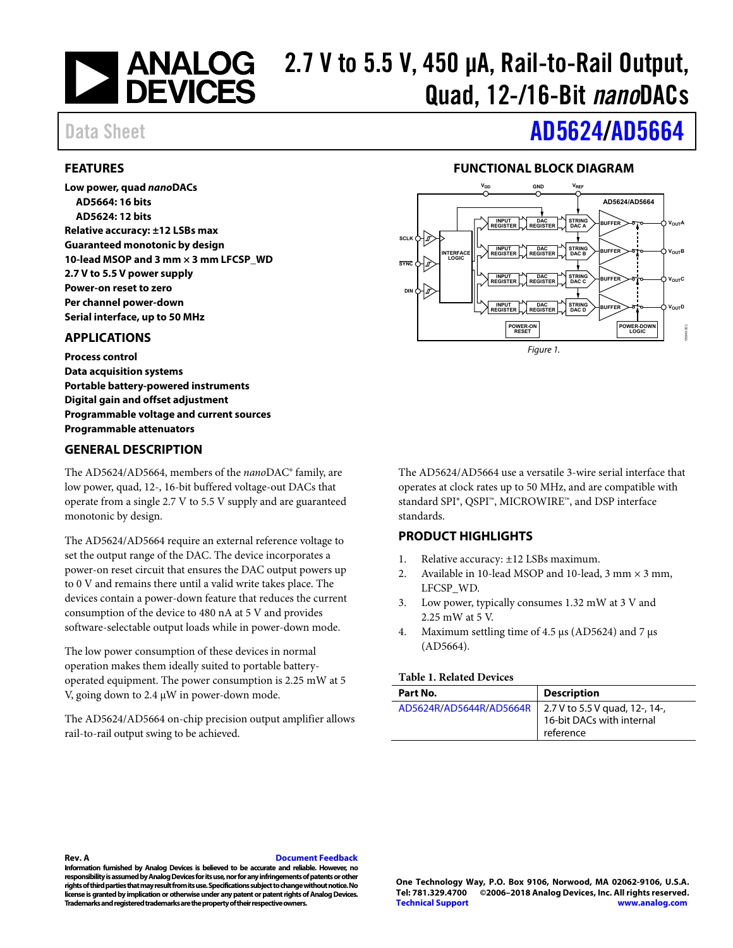# 2.7 V to 5.5 V, 450 μA, Rail-to-Rail Output, Quad, 12-/16-Bit nanoDACs

**SCLK**

**SYNC**

**DIN**

# Data Sheet **[AD5624](http://www.analog.com/AD5624?doc=AD5624_5664.pdf)[/AD5664](http://www.analog.com/AD5664?doc=AD5624_5664.pdf)**

### <span id="page-0-0"></span>**FEATURES**

**Low power, quad nanoDACs AD5664: 16 bits AD5624: 12 bits Relative accuracy: ±12 LSBs max Guaranteed monotonic by design 10-lead MSOP and 3 mm × 3 mm LFCSP\_WD 2.7 V to 5.5 V power supply Power-on reset to zero Per channel power-down Serial interface, up to 50 MHz** 

#### <span id="page-0-1"></span>**APPLICATIONS**

**Process control Data acquisition systems Portable battery-powered instruments Digital gain and offset adjustment Programmable voltage and current sources Programmable attenuators** 

#### <span id="page-0-3"></span>**GENERAL DESCRIPTION**

The AD5624/AD5664, members of the *nano*DAC® family, are low power, quad, 12-, 16-bit buffered voltage-out DACs that operate from a single 2.7 V to 5.5 V supply and are guaranteed monotonic by design.

The AD5624/AD5664 require an external reference voltage to set the output range of the DAC. The device incorporates a power-on reset circuit that ensures the DAC output powers up to 0 V and remains there until a valid write takes place. The devices contain a power-down feature that reduces the current consumption of the device to 480 nA at 5 V and provides software-selectable output loads while in power-down mode.

The low power consumption of these devices in normal operation makes them ideally suited to portable batteryoperated equipment. The power consumption is 2.25 mW at 5 V, going down to 2.4 μW in power-down mode.

The AD5624/AD5664 on-chip precision output amplifier allows rail-to-rail output swing to be achieved.

The AD5624/AD5664 use a versatile 3-wire serial interface that operates at clock rates up to 50 MHz, and are compatible with standard SPI®, QSPI™, MICROWIRE™, and DSP interface standards.

<span id="page-0-2"></span>**FUNCTIONAL BLOCK DIAGRAM** 

**DAC REGISTER**

**DAC REGISTER**

Figure 1.

**STRING DAC A BUFFER**

**INPUT DAC DACC DACC BUFFER OD D O** V<sub>OUT</sub>C

**STRING**

**STRING** BUFFER  $\rightarrow$  **O** V<sub>OUT</sub>B

**AD5624/AD5664**

**DAC D** HBUFFER  $\rightarrow$   $\sigma$ <sup>1</sup>

**POWER-DOWN LOGIC**

 $\mathsf{v}_\mathsf{out}$ A

05943-001

**VREF**

**INPUT REGISTER DAC REGISTER**

**POWER-ON RESET**

**V<sub>DD</sub> GND** 

**INPUT REGISTER**

**INPUT REGISTER**

### <span id="page-0-4"></span>**PRODUCT HIGHLIGHTS**

**INTERFACE LOGIC**

- 1. Relative accuracy: ±12 LSBs maximum.
- 2. Available in 10-lead MSOP and 10-lead,  $3 \text{ mm} \times 3 \text{ mm}$ , LFCSP\_WD.
- 3. Low power, typically consumes 1.32 mW at 3 V and 2.25 mW at 5 V.
- 4. Maximum settling time of 4.5 μs (AD5624) and 7 μs (AD5664).

#### **Table 1. Related Devices**

| Part No.                                               | <b>Description</b>                     |
|--------------------------------------------------------|----------------------------------------|
| AD5624R/AD5644R/AD5664R 2.7 V to 5.5 V quad, 12-, 14-, | 16-bit DACs with internal<br>reference |



**Rev. A [Document Feedback](https://form.analog.com/Form_Pages/feedback/documentfeedback.aspx?doc=AD5624_5664.pdf&product=AD5624%20AD5664&rev=A)** 

**Information furnished by Analog Devices is believed to be accurate and reliable. However, no responsibility is assumed by Analog Devices for its use, nor for any infringements of patents or other rights of third parties that may result from its use. Specifications subject to change without notice. No license is granted by implication or otherwise under any patent or patent rights of Analog Devices. Trademarks and registered trademarks are the property of their respective owners.**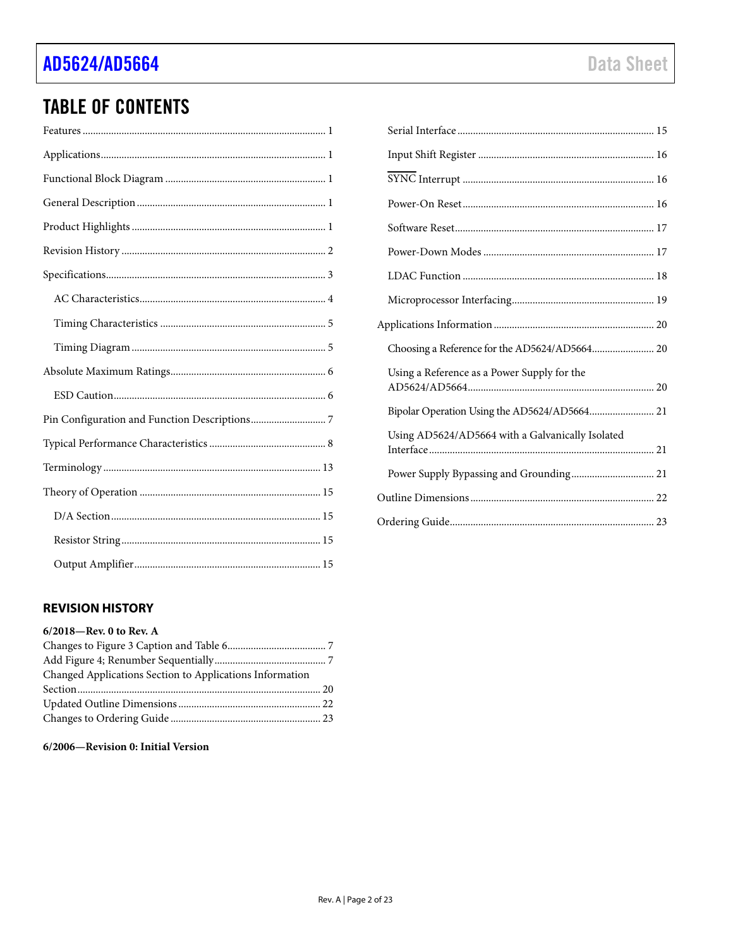# **TABLE OF CONTENTS**

# Choosing a Reference for the AD5624/AD5664............................. 20 Using a Reference as a Power Supply for the Using AD5624/AD5664 with a Galvanically Isolated

### <span id="page-1-0"></span>**REVISION HISTORY**

#### 6/2018-Rev. 0 to Rev. A

| Changed Applications Section to Applications Information |  |
|----------------------------------------------------------|--|
|                                                          |  |
|                                                          |  |
|                                                          |  |

#### 6/2006—Revision 0: Initial Version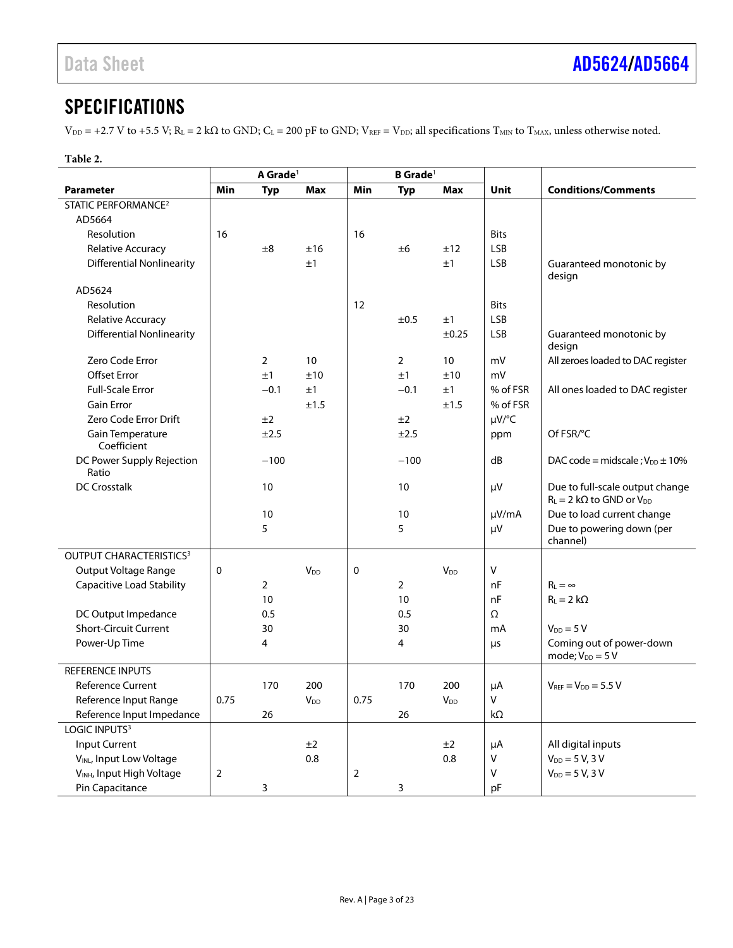# <span id="page-2-0"></span>**SPECIFICATIONS**

 $V_{\text{DD}} = +2.7 \text{ V}$  to  $+5.5 \text{ V}$ ;  $R_L = 2 \text{ k}\Omega$  to GND;  $C_L = 200 \text{ pF}$  to GND;  $V_{\text{REF}} = V_{\text{DD}}$ ; all specifications  $T_{\text{MIN}}$  to  $T_{\text{MAX}}$ , unless otherwise noted.

#### **Table 2.**

|                                        |      | A Grade <sup>1</sup> |                 |                | <b>B</b> Grade <sup>1</sup> |                 |             |                                                                         |
|----------------------------------------|------|----------------------|-----------------|----------------|-----------------------------|-----------------|-------------|-------------------------------------------------------------------------|
| <b>Parameter</b>                       | Min  | <b>Typ</b>           | <b>Max</b>      | Min            | <b>Typ</b>                  | <b>Max</b>      | <b>Unit</b> | <b>Conditions/Comments</b>                                              |
| STATIC PERFORMANCE <sup>2</sup>        |      |                      |                 |                |                             |                 |             |                                                                         |
| AD5664                                 |      |                      |                 |                |                             |                 |             |                                                                         |
| Resolution                             | 16   |                      |                 | 16             |                             |                 | <b>Bits</b> |                                                                         |
| Relative Accuracy                      |      | ±8                   | ±16             |                | ±6                          | ±12             | <b>LSB</b>  |                                                                         |
| <b>Differential Nonlinearity</b>       |      |                      | ±1              |                |                             | ±1              | <b>LSB</b>  | Guaranteed monotonic by<br>design                                       |
| AD5624                                 |      |                      |                 |                |                             |                 |             |                                                                         |
| Resolution                             |      |                      |                 | 12             |                             |                 | <b>Bits</b> |                                                                         |
| <b>Relative Accuracy</b>               |      |                      |                 |                | ±0.5                        | ±1              | <b>LSB</b>  |                                                                         |
| <b>Differential Nonlinearity</b>       |      |                      |                 |                |                             | ±0.25           | <b>LSB</b>  | Guaranteed monotonic by<br>design                                       |
| Zero Code Error                        |      | $\overline{2}$       | 10 <sup>°</sup> |                | $\overline{2}$              | 10              | mV          | All zeroes loaded to DAC register                                       |
| <b>Offset Error</b>                    |      | ±1                   | ±10             |                | ±1                          | ±10             | mV          |                                                                         |
| <b>Full-Scale Error</b>                |      | $-0.1$               | ±1              |                | $-0.1$                      | ±1              | % of FSR    | All ones loaded to DAC register                                         |
| <b>Gain Error</b>                      |      |                      | ±1.5            |                |                             | ±1.5            | % of FSR    |                                                                         |
| Zero Code Error Drift                  |      | ±2                   |                 |                | ±2                          |                 | µV/°C       |                                                                         |
| <b>Gain Temperature</b><br>Coefficient |      | ±2.5                 |                 |                | ±2.5                        |                 | ppm         | Of FSR/°C                                                               |
| DC Power Supply Rejection<br>Ratio     |      | $-100$               |                 |                | $-100$                      |                 | dB          | DAC code = midscale ; $V_{DD} \pm 10\%$                                 |
| <b>DC Crosstalk</b>                    |      | 10                   |                 |                | 10                          |                 | μV          | Due to full-scale output change<br>$R_L = 2 k\Omega$ to GND or $V_{DD}$ |
|                                        |      | 10                   |                 |                | 10                          |                 | µV/mA       | Due to load current change                                              |
|                                        |      | 5                    |                 |                | 5                           |                 | μV          | Due to powering down (per<br>channel)                                   |
| OUTPUT CHARACTERISTICS <sup>3</sup>    |      |                      |                 |                |                             |                 |             |                                                                         |
| Output Voltage Range                   | 0    |                      | V <sub>DD</sub> | $\mathbf 0$    |                             | V <sub>DD</sub> | V           |                                                                         |
| <b>Capacitive Load Stability</b>       |      | $\overline{2}$       |                 |                | $\overline{2}$              |                 | nF          | $R_L = \infty$                                                          |
|                                        |      | 10                   |                 |                | 10                          |                 | nF          | $R_{L} = 2 k\Omega$                                                     |
| DC Output Impedance                    |      | 0.5                  |                 |                | 0.5                         |                 | $\Omega$    |                                                                         |
| <b>Short-Circuit Current</b>           |      | 30                   |                 |                | 30                          |                 | mA          | $V_{DD} = 5V$                                                           |
| Power-Up Time                          |      | 4                    |                 |                | 4                           |                 | μs          | Coming out of power-down<br>mode; $V_{DD} = 5 V$                        |
| <b>REFERENCE INPUTS</b>                |      |                      |                 |                |                             |                 |             |                                                                         |
| <b>Reference Current</b>               |      | 170                  | 200             |                | 170                         | 200             | μA          | $V_{REF} = V_{DD} = 5.5 V$                                              |
| Reference Input Range                  | 0.75 |                      | V <sub>DD</sub> | 0.75           |                             | V <sub>DD</sub> | V           |                                                                         |
| Reference Input Impedance              |      | 26                   |                 |                | 26                          |                 | $k\Omega$   |                                                                         |
| LOGIC INPUTS <sup>3</sup>              |      |                      |                 |                |                             |                 |             |                                                                         |
| <b>Input Current</b>                   |      |                      | ±2              |                |                             | ±2              | μA          | All digital inputs                                                      |
| VINL, Input Low Voltage                |      |                      | 0.8             |                |                             | 0.8             | V           | $V_{DD} = 5 V, 3 V$                                                     |
| V <sub>INH</sub> , Input High Voltage  | 2    |                      |                 | $\overline{2}$ |                             |                 | V           | $V_{DD} = 5 V, 3 V$                                                     |
| Pin Capacitance                        |      | 3                    |                 |                | 3                           |                 | pF          |                                                                         |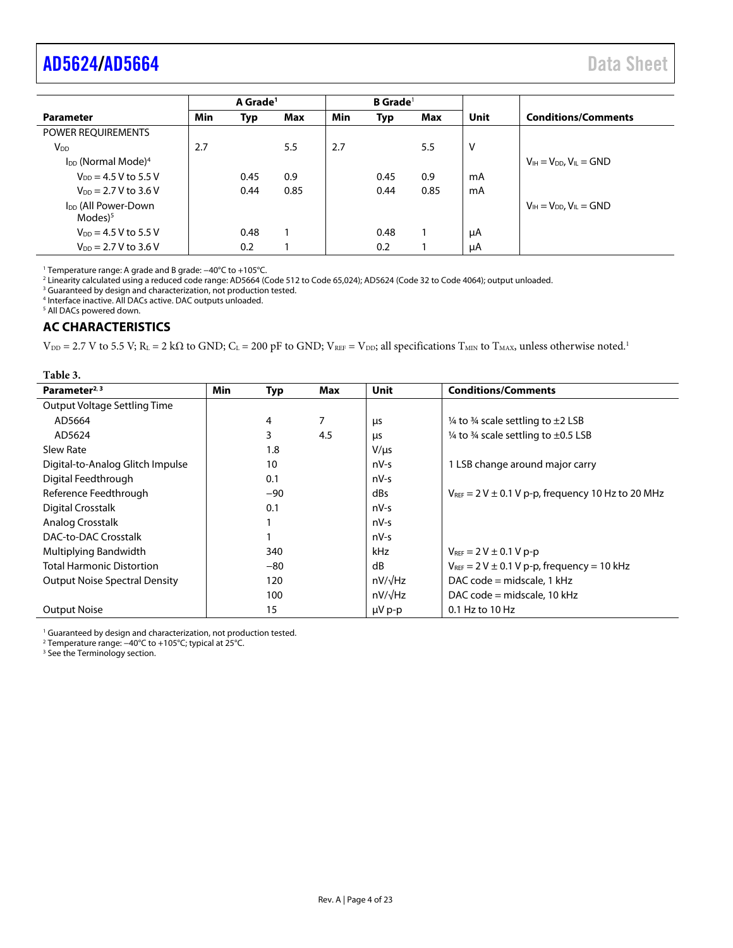# <span id="page-3-1"></span>[AD5624](http://www.analog.com/AD5624?doc=AD5624_5664.pdf)[/AD5664](http://www.analog.com/AD5664?doc=AD5624_5664.pdf) Data Sheet

|                                                         | A Grade <sup>1</sup> |      | B Grade <sup>1</sup> |     |      |      |             |                                    |
|---------------------------------------------------------|----------------------|------|----------------------|-----|------|------|-------------|------------------------------------|
| <b>Parameter</b>                                        | Min                  | Typ  | Max                  | Min | Typ  | Max  | <b>Unit</b> | <b>Conditions/Comments</b>         |
| POWER REQUIREMENTS                                      |                      |      |                      |     |      |      |             |                                    |
| $V_{DD}$                                                | 2.7                  |      | 5.5                  | 2.7 |      | 5.5  | V           |                                    |
| $I_{DD}$ (Normal Mode) <sup>4</sup>                     |                      |      |                      |     |      |      |             | $V_{IH} = V_{DD}$ , $V_{IL} = GND$ |
| $V_{DD} = 4.5 V$ to 5.5 V                               |                      | 0.45 | 0.9                  |     | 0.45 | 0.9  | mA          |                                    |
| $V_{DD} = 2.7 V to 3.6 V$                               |                      | 0.44 | 0.85                 |     | 0.44 | 0.85 | mA          |                                    |
| I <sub>DD</sub> (All Power-Down<br>$Modes$ <sup>5</sup> |                      |      |                      |     |      |      |             | $V_{IH} = V_{DD}$ , $V_{IL} = GND$ |
|                                                         |                      |      |                      |     |      |      |             |                                    |
| $V_{DD} = 4.5 V$ to 5.5 V                               |                      | 0.48 |                      |     | 0.48 |      | μA          |                                    |
| $V_{DD} = 2.7 V$ to 3.6 V                               |                      | 0.2  |                      |     | 0.2  |      | μA          |                                    |

1 Temperature range: A grade and B grade: −40°C to +105°C. 2

<sup>2</sup> Linearity calculated using a reduced code range: AD5664 (Code 512 to Code 65,024); AD5624 (Code 32 to Code 4064); output unloaded.

<sup>3</sup> Guaranteed by design and characterization, not production tested.

4 Interface inactive. All DACs active. DAC outputs unloaded.

5 All DACs powered down.

#### <span id="page-3-0"></span>**AC CHARACTERISTICS**

 $V_{DD} = 2.7$  V to 5.5 V; R<sub>L</sub> = 2 k $\Omega$  to GND; C<sub>L</sub> = 200 pF to GND; V<sub>REF</sub> = V<sub>DD</sub>; all specifications T<sub>MIN</sub> to T<sub>MAX</sub>, unless otherwise noted.<sup>1</sup>

| Table 3.                             |            |            |     |             |                                                                |
|--------------------------------------|------------|------------|-----|-------------|----------------------------------------------------------------|
| Parameter <sup>2, 3</sup>            | <b>Min</b> | <b>Typ</b> | Max | <b>Unit</b> | <b>Conditions/Comments</b>                                     |
| Output Voltage Settling Time         |            |            |     |             |                                                                |
| AD5664                               |            | 4          |     | μs          | $\frac{1}{4}$ to $\frac{3}{4}$ scale settling to $\pm$ 2 LSB   |
| AD5624                               |            | 3          | 4.5 | μs          | $\frac{1}{4}$ to $\frac{3}{4}$ scale settling to $\pm$ 0.5 LSB |
| Slew Rate                            |            | 1.8        |     | $V/\mu s$   |                                                                |
| Digital-to-Analog Glitch Impulse     |            | 10         |     | $nV-S$      | 1 LSB change around major carry                                |
| Digital Feedthrough                  |            | 0.1        |     | $nV-S$      |                                                                |
| Reference Feedthrough                |            | $-90$      |     | dBs         | $V_{REF}$ = 2 V $\pm$ 0.1 V p-p, frequency 10 Hz to 20 MHz     |
| <b>Digital Crosstalk</b>             |            | 0.1        |     | $nV-S$      |                                                                |
| Analog Crosstalk                     |            |            |     | $nV-S$      |                                                                |
| DAC-to-DAC Crosstalk                 |            |            |     | nV-s        |                                                                |
| Multiplying Bandwidth                |            | 340        |     | kHz         | $V_{REF} = 2 V \pm 0.1 V p-p$                                  |
| <b>Total Harmonic Distortion</b>     |            | $-80$      |     | dB          | $V_{REF}$ = 2 V $\pm$ 0.1 V p-p, frequency = 10 kHz            |
| <b>Output Noise Spectral Density</b> |            | 120        |     | nV/√Hz      | DAC code = midscale, 1 $kHz$                                   |
|                                      |            | 100        |     | nV/√Hz      | DAC code = midscale, 10 $kHz$                                  |
| <b>Output Noise</b>                  |            | 15         |     | $\mu V$ p-p | 0.1 Hz to 10 Hz                                                |

<sup>1</sup> Guaranteed by design and characterization, not production tested.<br><sup>2</sup> Temperature range: −40°C to +105°C; typical at 25°C.<br><sup>3</sup> See the Terminology section

<sup>3</sup> See th[e Terminology s](#page-12-0)ection.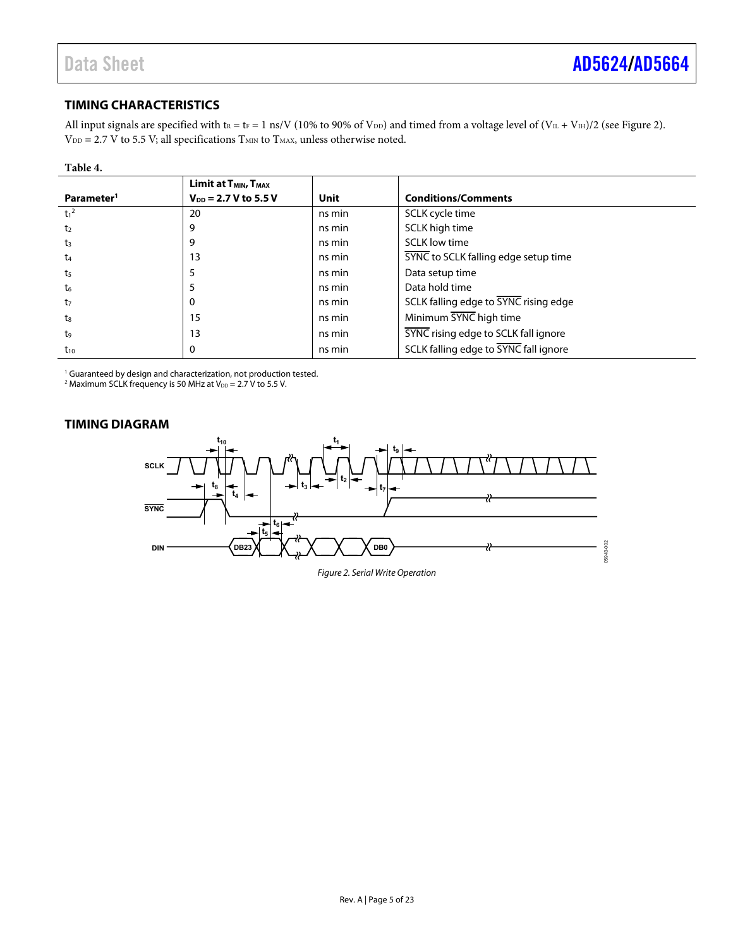### <span id="page-4-0"></span>**TIMING CHARACTERISTICS**

All input signals are specified with  $t_R = t_F = 1$  ns/V (10% to 90% of V<sub>DD</sub>) and timed from a voltage level of  $(V_{IL} + V_{IH})/2$  (se[e Figure 2\)](#page-4-2).  $V_{DD}$  = 2.7 V to 5.5 V; all specifications  $T_{MIN}$  to  $T_{MAX}$ , unless otherwise noted.

#### **Table 4.**

|                             | <b>Limit at <math>T_{MIN}</math>, <math>T_{MAX}</math></b> |        |                                       |
|-----------------------------|------------------------------------------------------------|--------|---------------------------------------|
| Parameter <sup>1</sup>      | $V_{DD} = 2.7 V$ to 5.5 V                                  | Unit   | <b>Conditions/Comments</b>            |
| t <sub>1</sub> <sup>2</sup> | 20                                                         | ns min | SCLK cycle time                       |
| t <sub>2</sub>              | 9                                                          | ns min | SCLK high time                        |
| tз                          | 9                                                          | ns min | <b>SCLK</b> low time                  |
| t4                          | 13                                                         | ns min | SYNC to SCLK falling edge setup time  |
| t5                          |                                                            | ns min | Data setup time                       |
| t6                          |                                                            | ns min | Data hold time                        |
| t7                          | 0                                                          | ns min | SCLK falling edge to SYNC rising edge |
| ts                          | 15                                                         | ns min | Minimum SYNC high time                |
| t9                          | 13                                                         | ns min | SYNC rising edge to SCLK fall ignore  |
| $t_{10}$                    | 0                                                          | ns min | SCLK falling edge to SYNC fall ignore |

<sup>1</sup> Guaranteed by design and characterization, not production tested.<br><sup>2</sup> Maximum SCLK frequency is 50 MHz at V<sub>DD</sub> = 2.7 V to 5.5 V.

### <span id="page-4-2"></span><span id="page-4-1"></span>**TIMING DIAGRAM**



Figure 2. Serial Write Operation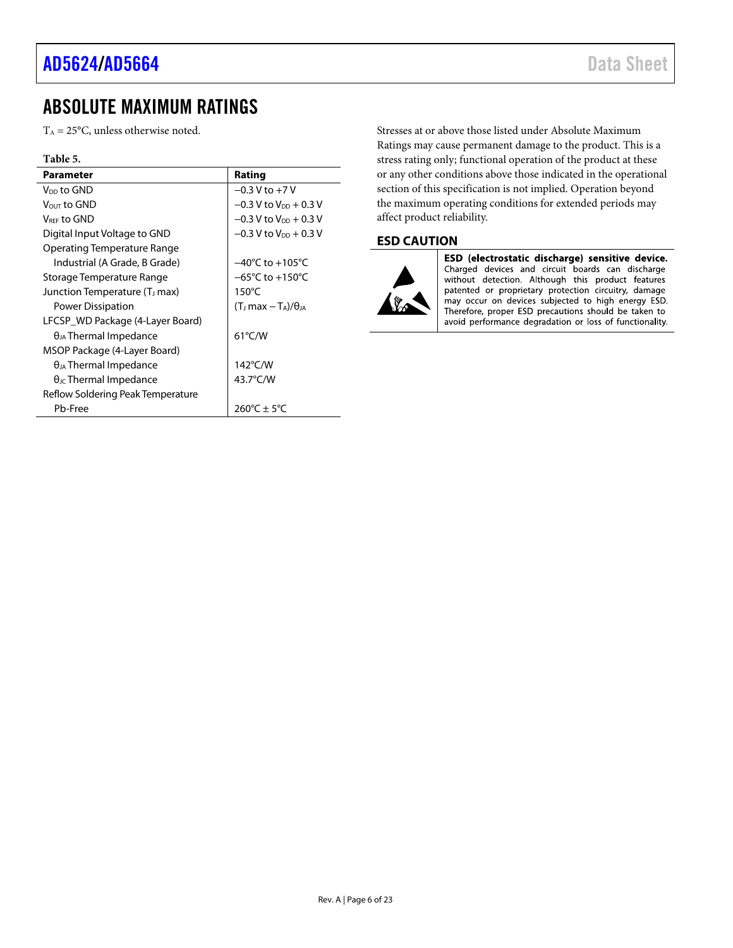### <span id="page-5-0"></span>ABSOLUTE MAXIMUM RATINGS

 $T_A = 25$ °C, unless otherwise noted.

#### **Table 5.**

| Parameter                                 | Rating                               |
|-------------------------------------------|--------------------------------------|
| V <sub>DD</sub> to GND                    | $-0.3$ V to $+7$ V                   |
| Vout to GND                               | $-0.3$ V to V <sub>DD</sub> $+0.3$ V |
| $V_{\text{RFF}}$ to GND                   | $-0.3$ V to V <sub>DD</sub> + 0.3 V  |
| Digital Input Voltage to GND              | $-0.3$ V to $V_{DD}$ + 0.3 V         |
| Operating Temperature Range               |                                      |
| Industrial (A Grade, B Grade)             | $-40^{\circ}$ C to $+105^{\circ}$ C  |
| Storage Temperature Range                 | $-65^{\circ}$ C to +150 $^{\circ}$ C |
| Junction Temperature (T <sub>J</sub> max) | $150^{\circ}$ C                      |
| Power Dissipation                         | $(TJ max - TA)/\thetaJA$             |
| LFCSP_WD Package (4-Layer Board)          |                                      |
| $\theta_{JA}$ Thermal Impedance           | $61^{\circ}$ C/W                     |
| MSOP Package (4-Layer Board)              |                                      |
| $\theta_{JA}$ Thermal Impedance           | 142°C/W                              |
| $\theta_{\text{JC}}$ Thermal Impedance    | 43.7 $°C/W$                          |
| Reflow Soldering Peak Temperature         |                                      |
| Pb-Free                                   | $260^{\circ}$ C ± 5°C                |

Stresses at or above those listed under Absolute Maximum Ratings may cause permanent damage to the product. This is a stress rating only; functional operation of the product at these or any other conditions above those indicated in the operational section of this specification is not implied. Operation beyond the maximum operating conditions for extended periods may affect product reliability.

### <span id="page-5-1"></span>**ESD CAUTION**



ESD (electrostatic discharge) sensitive device. Charged devices and circuit boards can discharge without detection. Although this product features patented or proprietary protection circuitry, damage may occur on devices subjected to high energy ESD. Therefore, proper ESD precautions should be taken to avoid performance degradation or loss of functionality.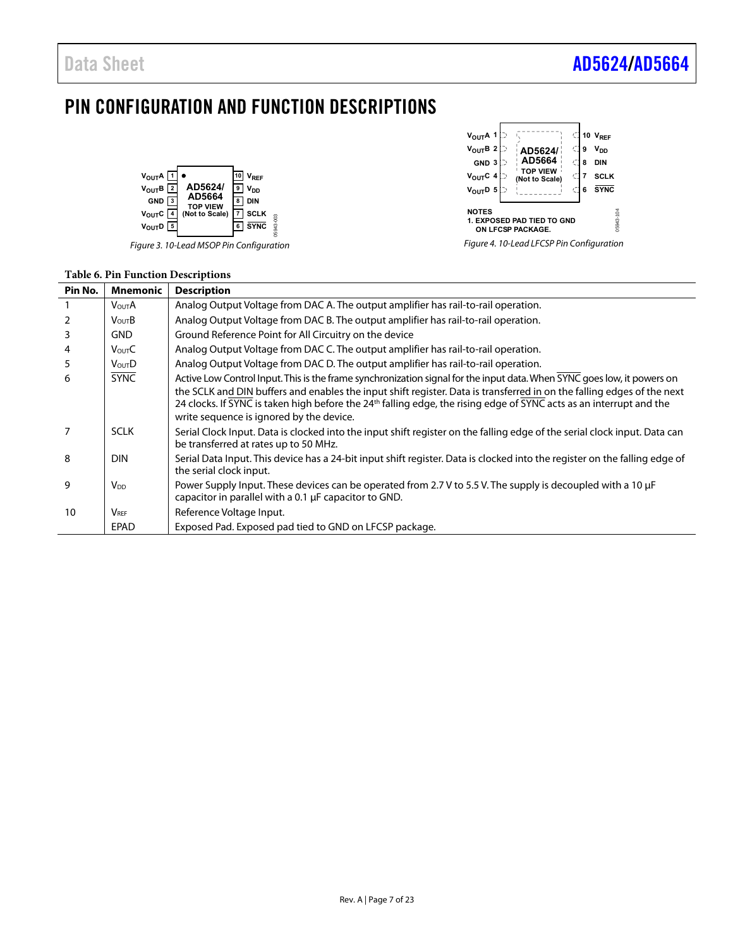# Data Sheet **[AD5624](http://www.analog.com/AD5624?doc=AD5624_5664.pdf)[/AD5664](http://www.analog.com/AD5664?doc=AD5624_5664.pdf)**

# <span id="page-6-0"></span>PIN CONFIGURATION AND FUNCTION DESCRIPTIONS



**10**  $V_{\mathsf{OUT}}$ A 1 $\left[\begin{smallmatrix} \cdot & \cdot & \cdot & \cdot & \cdot \end{smallmatrix}\right]$  ,  $\left[\begin{smallmatrix} \cdot & \cdot & \cdot & \cdot \end{smallmatrix}\right]$  10  $V_{\mathsf{REF}}$ **9** V<sub>OUT</sub>B 2ြ | AD5624/| ါ 9 V<sub>DD</sub> **AD5624/ AD5664 8**  $GND$  3 $\Box$   $\vdash$  AD5664  $\vdash$   $\Box$ 8 DIN **7**  $V_{OUT}C$  4 $\Box$ **V<sub>OUT</sub>C 4**  $\Box$  TOP VIEW  $\Box$  7 SCLK **6 VOUTD SYNC 5 NOTES**  $\overline{8}$ 05943-104 5943-1 **1. EXPOSED PAD TIED TO GND ON LFCSP PACKAGE.** Figure 4. 10-Lead LFCSP Pin Configuration

Figure 3. 10-Lead MSOP Pin Configuration

| Pin No.        | <b>Mnemonic</b>         | <b>Description</b>                                                                                                                                                                                                                                        |
|----------------|-------------------------|-----------------------------------------------------------------------------------------------------------------------------------------------------------------------------------------------------------------------------------------------------------|
| $\mathbf{1}$   | <b>VOUTA</b>            | Analog Output Voltage from DAC A. The output amplifier has rail-to-rail operation.                                                                                                                                                                        |
| $\overline{2}$ | <b>VoutB</b>            | Analog Output Voltage from DAC B. The output amplifier has rail-to-rail operation.                                                                                                                                                                        |
| 3              | <b>GND</b>              | Ground Reference Point for All Circuitry on the device                                                                                                                                                                                                    |
| 4              | Vour <sub>C</sub>       | Analog Output Voltage from DAC C. The output amplifier has rail-to-rail operation.                                                                                                                                                                        |
| 5              | $V_{\text{OUT}}D$       | Analog Output Voltage from DAC D. The output amplifier has rail-to-rail operation.                                                                                                                                                                        |
| 6              | <b>SYNC</b>             | Active Low Control Input. This is the frame synchronization signal for the input data. When SYNC goes low, it powers on                                                                                                                                   |
|                |                         | the SCLK and DIN buffers and enables the input shift register. Data is transferred in on the falling edges of the next<br>24 clocks. If SYNC is taken high before the 24 <sup>th</sup> falling edge, the rising edge of SYNC acts as an interrupt and the |
|                |                         | write sequence is ignored by the device.                                                                                                                                                                                                                  |
| 7              | <b>SCLK</b>             | Serial Clock Input. Data is clocked into the input shift register on the falling edge of the serial clock input. Data can<br>be transferred at rates up to 50 MHz.                                                                                        |
| 8              | <b>DIN</b>              | Serial Data Input. This device has a 24-bit input shift register. Data is clocked into the register on the falling edge of<br>the serial clock input.                                                                                                     |
| 9              | $V_{DD}$                | Power Supply Input. These devices can be operated from 2.7 V to 5.5 V. The supply is decoupled with a 10 µF<br>capacitor in parallel with a 0.1 µF capacitor to GND.                                                                                      |
| 10             | <b>V</b> <sub>RFF</sub> | Reference Voltage Input.                                                                                                                                                                                                                                  |
|                | EPAD                    | Exposed Pad. Exposed pad tied to GND on LFCSP package.                                                                                                                                                                                                    |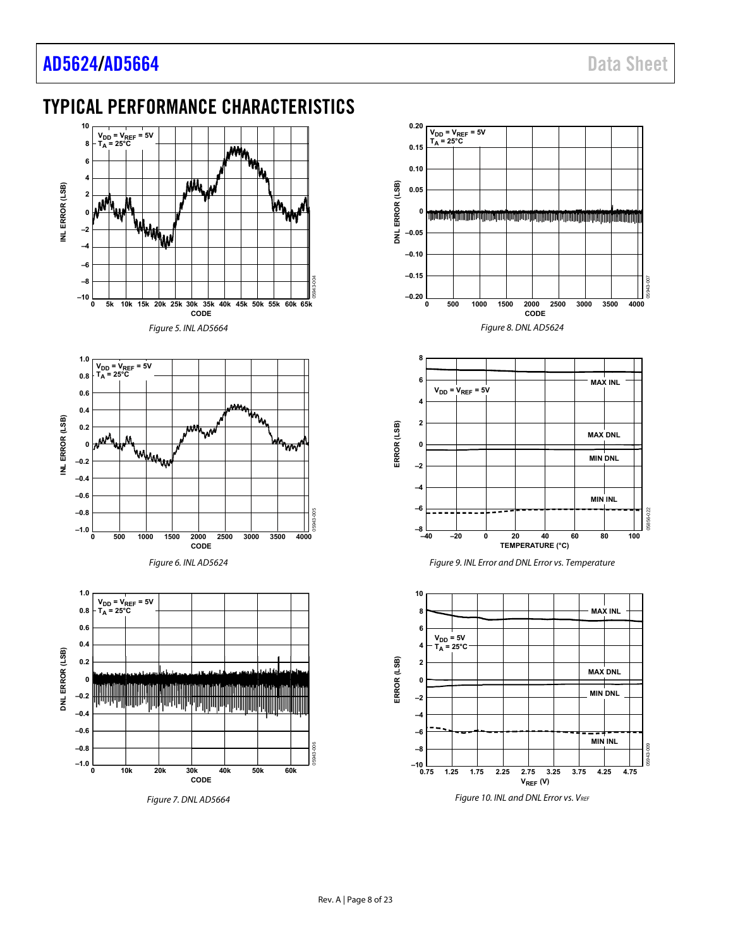# <span id="page-7-0"></span>TYPICAL PERFORMANCE CHARACTERISTICS



Figure 5. INL AD5664

<span id="page-7-1"></span>



<span id="page-7-2"></span>

<span id="page-7-3"></span>Figure 7. DNL AD5664

<span id="page-7-4"></span>



Figure 10. INL and DNL Error vs. VREF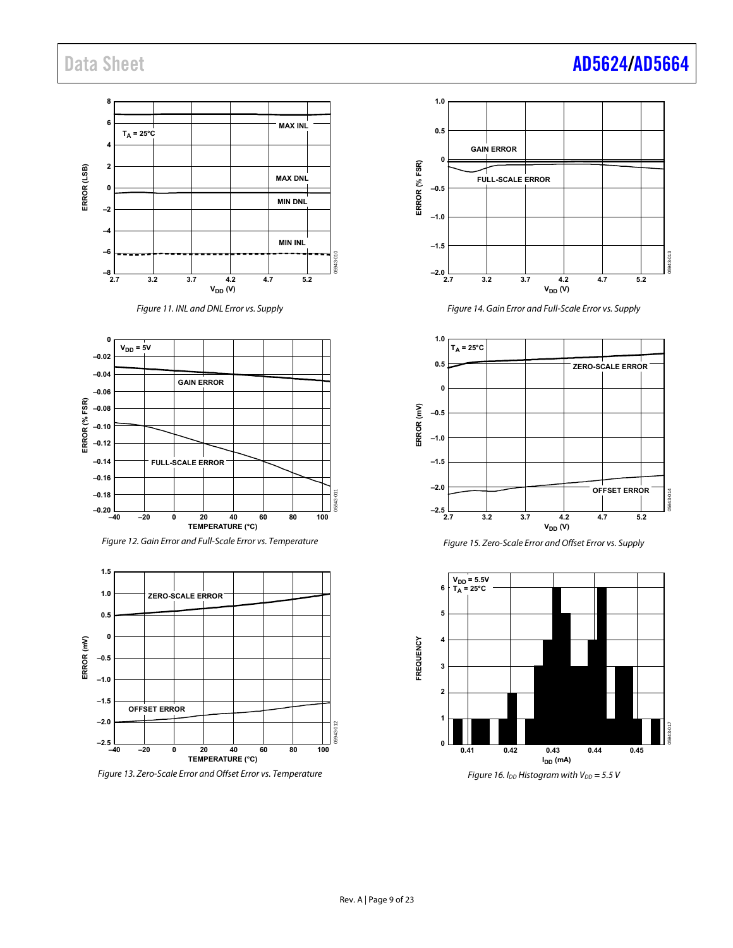# Data Sheet **[AD5624/](http://www.analog.com/AD5624?doc=AD5624_5664.pdf)[AD5664](http://www.analog.com/AD5664?doc=AD5624_5664.pdf)**









<span id="page-8-1"></span>

<span id="page-8-0"></span>Figure 13. Zero-Scale Error and Offset Error vs. Temperature



Figure 14. Gain Error and Full-Scale Error vs. Supply







Figure 16. I<sub>DD</sub> Histogram with  $V_{DD} = 5.5$  V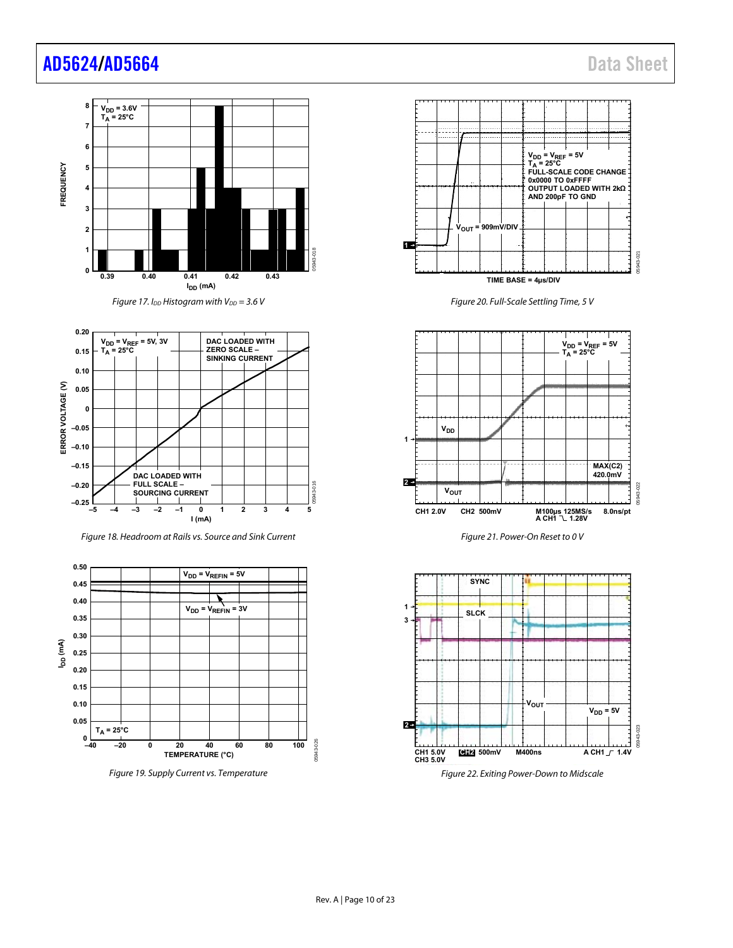# [AD5624/](http://www.analog.com/AD5624?doc=AD5624_5664.pdf)[AD5664](http://www.analog.com/AD5664?doc=AD5624_5664.pdf) Data Sheet





Figure 18. Headroom at Rails vs. Source and Sink Current

<span id="page-9-0"></span>

Figure 19. Supply Current vs. Temperature



Figure 20. Full-Scale Settling Time, 5 V







<span id="page-9-1"></span>Figure 22. Exiting Power-Down to Midscale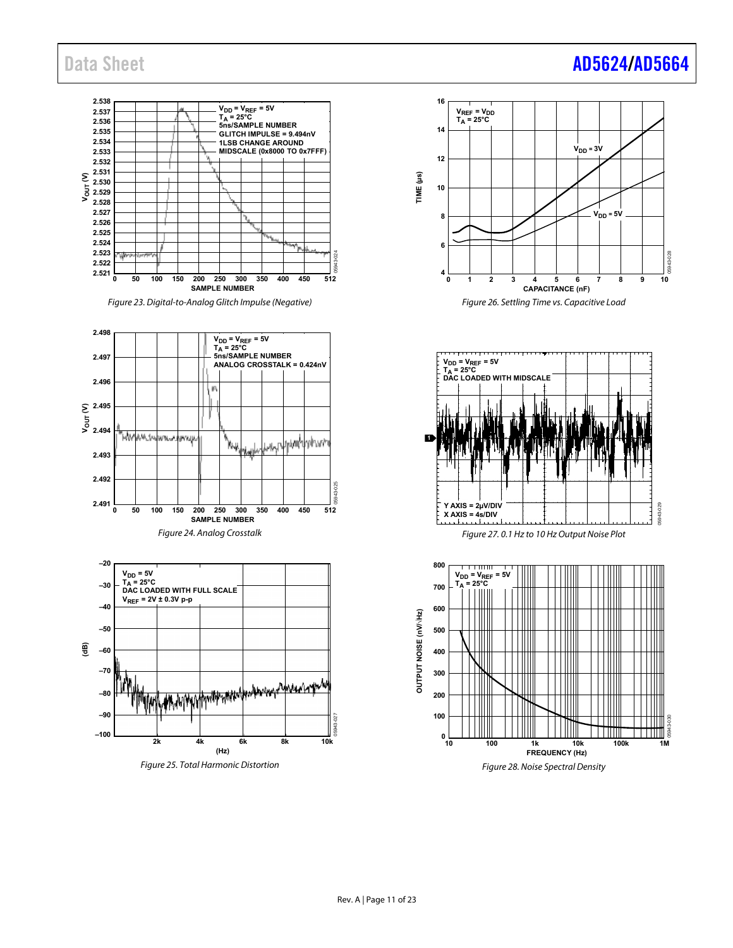## Data Sheet **[AD5624/](http://www.analog.com/AD5624?doc=AD5624_5664.pdf)[AD5664](http://www.analog.com/AD5664?doc=AD5624_5664.pdf)**



Figure 23. Digital-to-Analog Glitch Impulse (Negative)

<span id="page-10-2"></span><span id="page-10-0"></span>







<span id="page-10-1"></span>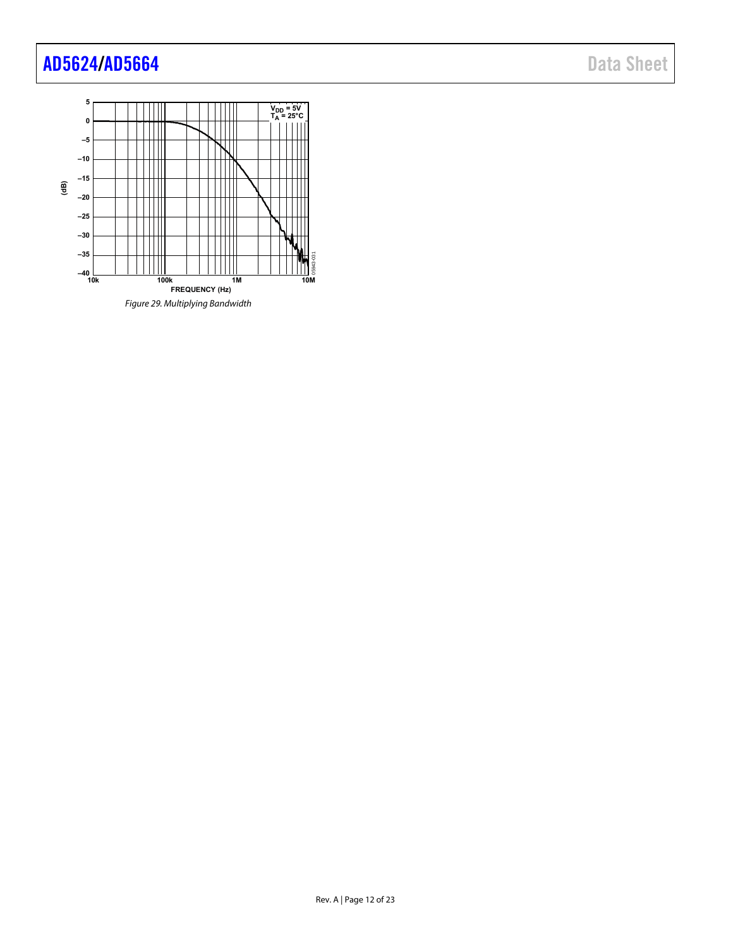# [AD5624/](http://www.analog.com/AD5624?doc=AD5624_5664.pdf)[AD5664](http://www.analog.com/AD5664?doc=AD5624_5664.pdf) Data Sheet

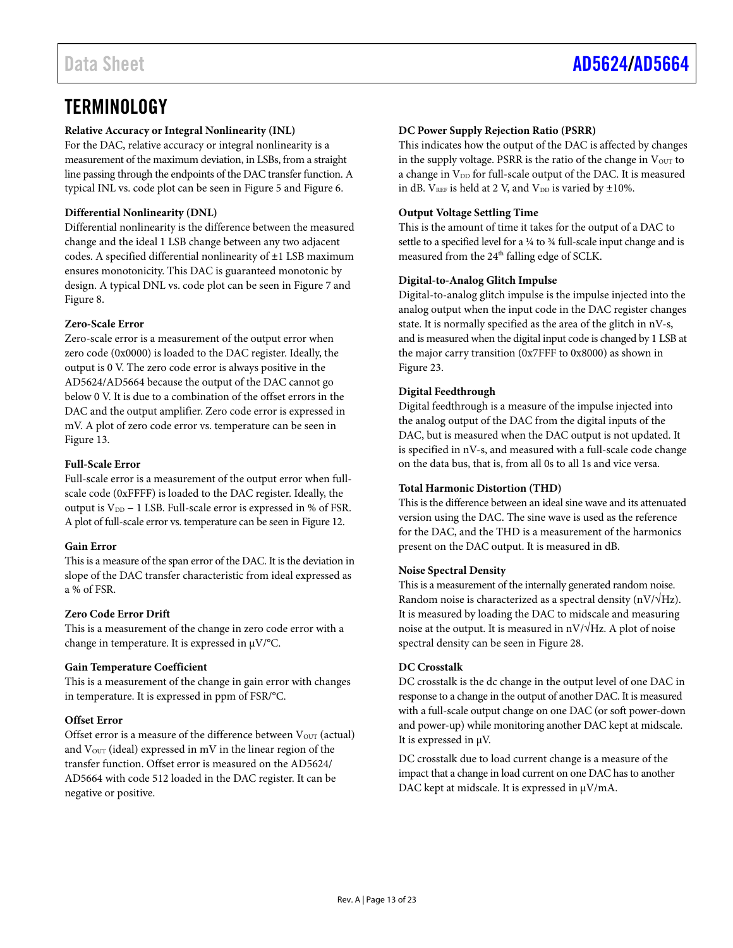### <span id="page-12-0"></span>**TERMINOLOGY**

#### **Relative Accuracy or Integral Nonlinearity (INL)**

For the DAC, relative accuracy or integral nonlinearity is a measurement of the maximum deviation, in LSBs, from a straight line passing through the endpoints of the DAC transfer function. A typical INL vs. code plot can be seen in [Figure 5](#page-7-1) an[d Figure 6.](#page-7-2) 

#### **Differential Nonlinearity (DNL)**

Differential nonlinearity is the difference between the measured change and the ideal 1 LSB change between any two adjacent codes. A specified differential nonlinearity of ±1 LSB maximum ensures monotonicity. This DAC is guaranteed monotonic by design. A typical DNL vs. code plot can be seen i[n Figure 7 a](#page-7-3)nd [Figure 8.](#page-7-4)

#### **Zero-Scale Error**

Zero-scale error is a measurement of the output error when zero code (0x0000) is loaded to the DAC register. Ideally, the output is 0 V. The zero code error is always positive in the AD5624/AD5664 because the output of the DAC cannot go below 0 V. It is due to a combination of the offset errors in the DAC and the output amplifier. Zero code error is expressed in mV. A plot of zero code error vs. temperature can be seen in [Figure 13.](#page-8-0) 

#### **Full-Scale Error**

Full-scale error is a measurement of the output error when fullscale code (0xFFFF) is loaded to the DAC register. Ideally, the output is V<sub>DD</sub> − 1 LSB. Full-scale error is expressed in % of FSR. A plot of full-scale error vs. temperature can be seen i[n Figure 12.](#page-8-1) 

#### **Gain Error**

This is a measure of the span error of the DAC. It is the deviation in slope of the DAC transfer characteristic from ideal expressed as a % of FSR.

#### **Zero Code Error Drift**

This is a measurement of the change in zero code error with a change in temperature. It is expressed in μV/°C.

#### **Gain Temperature Coefficient**

This is a measurement of the change in gain error with changes in temperature. It is expressed in ppm of FSR/°C.

#### **Offset Error**

Offset error is a measure of the difference between  $V_{\text{OUT}}$  (actual) and  $V_{OUT}$  (ideal) expressed in mV in the linear region of the transfer function. Offset error is measured on the AD5624/ AD5664 with code 512 loaded in the DAC register. It can be negative or positive.

#### **DC Power Supply Rejection Ratio (PSRR)**

This indicates how the output of the DAC is affected by changes in the supply voltage. PSRR is the ratio of the change in  $V<sub>OUT</sub>$  to a change in V<sub>DD</sub> for full-scale output of the DAC. It is measured in dB.  $V_{REF}$  is held at 2 V, and  $V_{DD}$  is varied by  $\pm 10\%$ .

#### **Output Voltage Settling Time**

This is the amount of time it takes for the output of a DAC to settle to a specified level for a ¼ to ¾ full-scale input change and is measured from the 24<sup>th</sup> falling edge of SCLK.

#### **Digital-to-Analog Glitch Impulse**

Digital-to-analog glitch impulse is the impulse injected into the analog output when the input code in the DAC register changes state. It is normally specified as the area of the glitch in nV-s, and is measured when the digital input code is changed by 1 LSB at the major carry transition (0x7FFF to 0x8000) as shown in [Figure 23.](#page-10-0) 

#### **Digital Feedthrough**

Digital feedthrough is a measure of the impulse injected into the analog output of the DAC from the digital inputs of the DAC, but is measured when the DAC output is not updated. It is specified in nV-s, and measured with a full-scale code change on the data bus, that is, from all 0s to all 1s and vice versa.

#### **Total Harmonic Distortion (THD)**

This is the difference between an ideal sine wave and its attenuated version using the DAC. The sine wave is used as the reference for the DAC, and the THD is a measurement of the harmonics present on the DAC output. It is measured in dB.

#### **Noise Spectral Density**

This is a measurement of the internally generated random noise. Random noise is characterized as a spectral density  $(nV/\sqrt{Hz})$ . It is measured by loading the DAC to midscale and measuring noise at the output. It is measured in nV/√Hz. A plot of noise spectral density can be seen in [Figure 28.](#page-10-1) 

#### **DC Crosstalk**

DC crosstalk is the dc change in the output level of one DAC in response to a change in the output of another DAC. It is measured with a full-scale output change on one DAC (or soft power-down and power-up) while monitoring another DAC kept at midscale. It is expressed in μV.

DC crosstalk due to load current change is a measure of the impact that a change in load current on one DAC has to another DAC kept at midscale. It is expressed in μV/mA.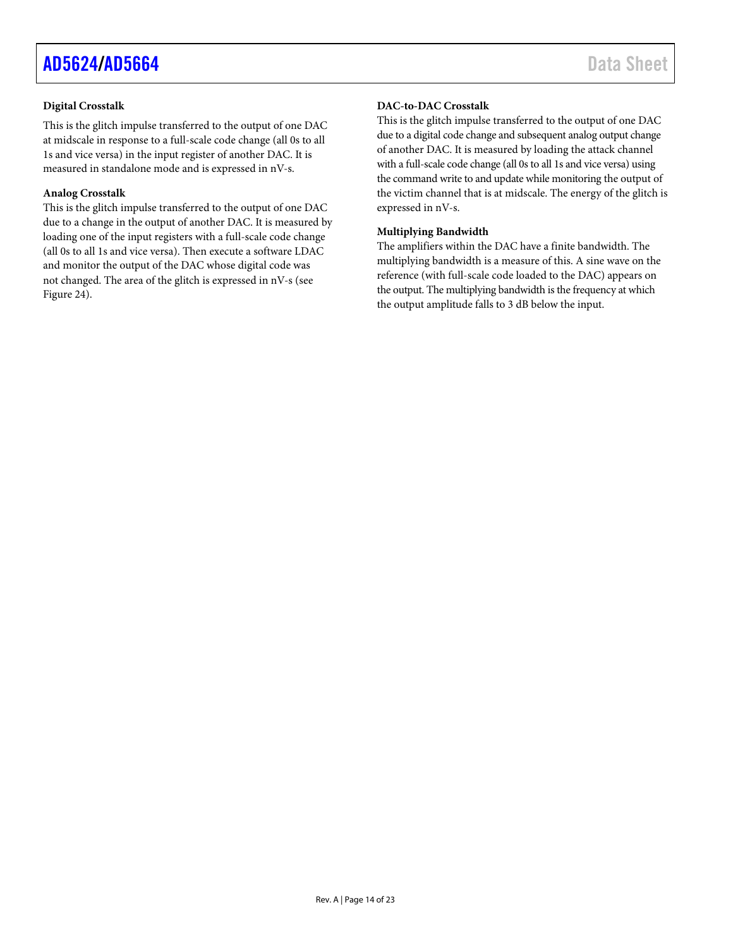# [AD5624](http://www.analog.com/AD5624?doc=AD5624_5664.pdf)[/AD5664](http://www.analog.com/AD5664?doc=AD5624_5664.pdf) Data Sheet

#### **Digital Crosstalk**

This is the glitch impulse transferred to the output of one DAC at midscale in response to a full-scale code change (all 0s to all 1s and vice versa) in the input register of another DAC. It is measured in standalone mode and is expressed in nV-s.

#### **Analog Crosstalk**

This is the glitch impulse transferred to the output of one DAC due to a change in the output of another DAC. It is measured by loading one of the input registers with a full-scale code change (all 0s to all 1s and vice versa). Then execute a software LDAC and monitor the output of the DAC whose digital code was not changed. The area of the glitch is expressed in nV-s (see [Figure 24\)](#page-10-2).

#### **DAC-to-DAC Crosstalk**

This is the glitch impulse transferred to the output of one DAC due to a digital code change and subsequent analog output change of another DAC. It is measured by loading the attack channel with a full-scale code change (all 0s to all 1s and vice versa) using the command write to and update while monitoring the output of the victim channel that is at midscale. The energy of the glitch is expressed in nV-s.

#### **Multiplying Bandwidth**

The amplifiers within the DAC have a finite bandwidth. The multiplying bandwidth is a measure of this. A sine wave on the reference (with full-scale code loaded to the DAC) appears on the output. The multiplying bandwidth is the frequency at which the output amplitude falls to 3 dB below the input.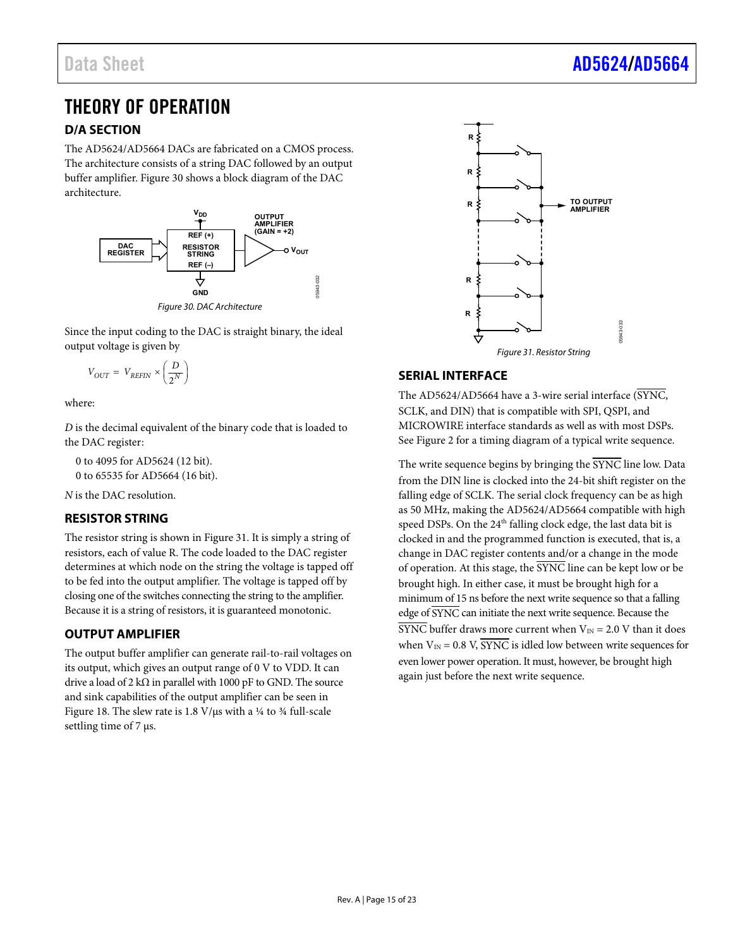# <span id="page-14-0"></span>THEORY OF OPERATION

### <span id="page-14-1"></span>**D/A SECTION**

The AD5624/AD5664 DACs are fabricated on a CMOS process. The architecture consists of a string DAC followed by an output buffer amplifier[. Figure 30](#page-14-5) shows a block diagram of the DAC architecture.



<span id="page-14-5"></span>Since the input coding to the DAC is straight binary, the ideal output voltage is given by

$$
V_{OUT} = \ V_{REFIN} \times \left(\frac{D}{2^N}\right)
$$

where:

*D* is the decimal equivalent of the binary code that is loaded to the DAC register:

0 to 4095 for AD5624 (12 bit). 0 to 65535 for AD5664 (16 bit).

*N* is the DAC resolution.

### <span id="page-14-2"></span>**RESISTOR STRING**

The resistor string is shown i[n Figure 31.](#page-14-6) It is simply a string of resistors, each of value R. The code loaded to the DAC register determines at which node on the string the voltage is tapped off to be fed into the output amplifier. The voltage is tapped off by closing one of the switches connecting the string to the amplifier. Because it is a string of resistors, it is guaranteed monotonic.

### <span id="page-14-3"></span>**OUTPUT AMPLIFIER**

The output buffer amplifier can generate rail-to-rail voltages on its output, which gives an output range of 0 V to VDD. It can drive a load of 2 k $\Omega$  in parallel with 1000 pF to GND. The source and sink capabilities of the output amplifier can be seen in [Figure 18.](#page-9-0) The slew rate is 1.8 V/μs with a ¼ to ¾ full-scale settling time of 7 μs.



### <span id="page-14-6"></span><span id="page-14-4"></span>**SERIAL INTERFACE**

The AD5624/AD5664 have a 3-wire serial interface (SYNC, SCLK, and DIN) that is compatible with SPI, QSPI, and MICROWIRE interface standards as well as with most DSPs. See [Figure 2](#page-4-2) for a timing diagram of a typical write sequence.

The write sequence begins by bringing the  $\overline{\text{SYNC}}$  line low. Data from the DIN line is clocked into the 24-bit shift register on the falling edge of SCLK. The serial clock frequency can be as high as 50 MHz, making the AD5624/AD5664 compatible with high speed DSPs. On the 24<sup>th</sup> falling clock edge, the last data bit is clocked in and the programmed function is executed, that is, a change in DAC register contents and/or a change in the mode of operation. At this stage, the  $\overline{\text{SYNC}}$  line can be kept low or be brought high. In either case, it must be brought high for a minimum of 15 ns before the next write sequence so that a falling edge of SYNC can initiate the next write sequence. Because the  $\overline{\text{SYNC}}$  buffer draws more current when  $V_{\text{IN}} = 2.0 \text{ V}$  than it does when  $V_{\text{IN}} = 0.8$  V,  $\overline{\text{SYNC}}$  is idled low between write sequences for even lower power operation. It must, however, be brought high again just before the next write sequence.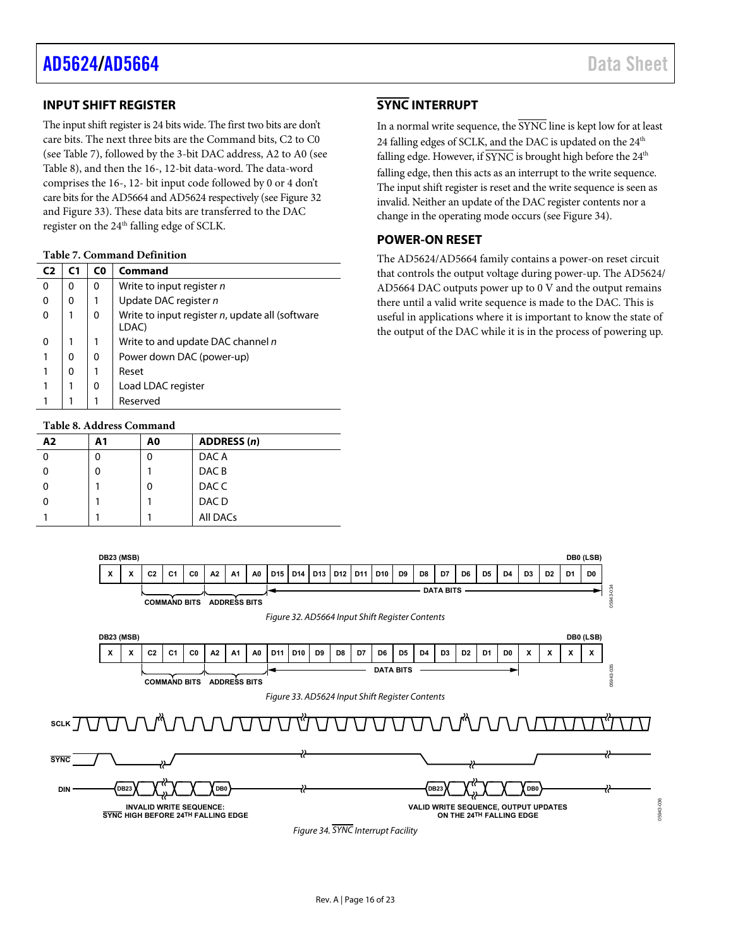### <span id="page-15-0"></span>**INPUT SHIFT REGISTER**

The input shift register is 24 bits wide. The first two bits are don't care bits. The next three bits are the Command bits, C2 to C0 (see [Table 7\)](#page-15-3), followed by the 3-bit DAC address, A2 to A0 (see [Table 8\)](#page-15-4), and then the 16-, 12-bit data-word. The data-word comprises the 16-, 12- bit input code followed by 0 or 4 don't care bits for the AD5664 and AD5624 respectively (se[e Figure 32](#page-15-5)  an[d Figure 33\)](#page-15-6). These data bits are transferred to the DAC register on the 24<sup>th</sup> falling edge of SCLK.

#### <span id="page-15-3"></span>**Table 7. Command Definition**

| C <sub>2</sub> |   | C <sub>0</sub> | Command                                                  |
|----------------|---|----------------|----------------------------------------------------------|
| 0              | 0 | 0              | Write to input register n                                |
| 0              | 0 |                | Update DAC register n                                    |
| 0              |   | 0              | Write to input register n, update all (software<br>LDAC) |
|                |   | 1              | Write to and update DAC channel n                        |
|                | 0 | 0              | Power down DAC (power-up)                                |
|                | 0 |                | Reset                                                    |
|                |   | 0              | Load LDAC register                                       |
|                |   |                | Reserved                                                 |

#### <span id="page-15-4"></span>**Table 8. Address Command**

**SYNC**

<span id="page-15-6"></span>**SCLK**

| A2 | Α1 | A0 | <b>ADDRESS</b> (n) |
|----|----|----|--------------------|
|    | 0  |    | DAC A              |
|    | 0  |    | DAC <sub>B</sub>   |
|    |    |    | DAC C              |
|    |    |    | DAC <sub>D</sub>   |
|    |    |    | <b>All DACs</b>    |

<span id="page-15-7"></span>**INVALID WRITE SEQUENCE: SYNC HIGH BEFORE 24TH FALLING EDGE**

### <span id="page-15-1"></span>**SYNC INTERRUPT**

In a normal write sequence, the SYNC line is kept low for at least 24 falling edges of SCLK, and the DAC is updated on the  $24<sup>th</sup>$ falling edge. However, if  $\overline{\text{SYNC}}$  is brought high before the 24<sup>th</sup> falling edge, then this acts as an interrupt to the write sequence. The input shift register is reset and the write sequence is seen as invalid. Neither an update of the DAC register contents nor a change in the operating mode occurs (se[e Figure 34\)](#page-15-7).

### <span id="page-15-2"></span>**POWER-ON RESET**

The AD5624/AD5664 family contains a power-on reset circuit that controls the output voltage during power-up. The AD5624/ AD5664 DAC outputs power up to 0 V and the output remains there until a valid write sequence is made to the DAC. This is useful in applications where it is important to know the state of the output of the DAC while it is in the process of powering up.

<span id="page-15-5"></span>

**VALID WRITE SEQUENCE, OUTPUT UPDATES ON THE 24TH FALLING EDGE**

Figure 34. SYNC Interrupt Facility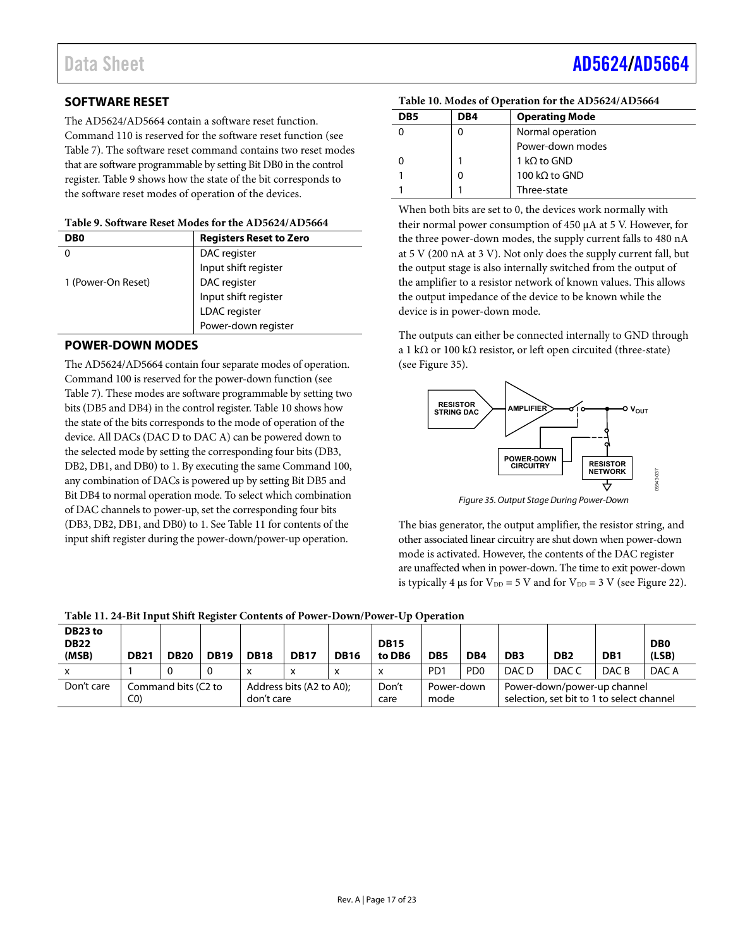### <span id="page-16-0"></span>**SOFTWARE RESET**

The AD5624/AD5664 contain a software reset function. Command 110 is reserved for the software reset function (see [Table 7\)](#page-15-3). The software reset command contains two reset modes that are software programmable by setting Bit DB0 in the control register. [Table 9](#page-16-2) shows how the state of the bit corresponds to the software reset modes of operation of the devices.

<span id="page-16-2"></span>

|  |  |  |  |  | Table 9. Software Reset Modes for the AD5624/AD5664 |  |
|--|--|--|--|--|-----------------------------------------------------|--|
|--|--|--|--|--|-----------------------------------------------------|--|

| DB0                | <b>Registers Reset to Zero</b> |
|--------------------|--------------------------------|
|                    | DAC register                   |
|                    | Input shift register           |
| 1 (Power-On Reset) | DAC register                   |
|                    | Input shift register           |
|                    | <b>LDAC</b> register           |
|                    | Power-down register            |

### <span id="page-16-1"></span>**POWER-DOWN MODES**

The AD5624/AD5664 contain four separate modes of operation. Command 100 is reserved for the power-down function (see [Table 7\)](#page-15-3). These modes are software programmable by setting two bits (DB5 and DB4) in the control register[. Table 10 s](#page-16-3)hows how the state of the bits corresponds to the mode of operation of the device. All DACs (DAC D to DAC A) can be powered down to the selected mode by setting the corresponding four bits (DB3, DB2, DB1, and DB0) to 1. By executing the same Command 100, any combination of DACs is powered up by setting Bit DB5 and Bit DB4 to normal operation mode. To select which combination of DAC channels to power-up, set the corresponding four bits (DB3, DB2, DB1, and DB0) to 1. Se[e Table 11](#page-16-4) for contents of the input shift register during the power-down/power-up operation.

<span id="page-16-3"></span>

| Table 10. Modes of Operation for the AD5624/AD5664 |
|----------------------------------------------------|
|----------------------------------------------------|

| DB <sub>5</sub> | DB4 | <b>Operating Mode</b> |
|-----------------|-----|-----------------------|
|                 |     | Normal operation      |
|                 |     | Power-down modes      |
|                 |     | 1 kQ to GND           |
|                 | 0   | 100 k $\Omega$ to GND |
|                 |     | Three-state           |

When both bits are set to 0, the devices work normally with their normal power consumption of 450 μA at 5 V. However, for the three power-down modes, the supply current falls to 480 nA at 5 V (200 nA at 3 V). Not only does the supply current fall, but the output stage is also internally switched from the output of the amplifier to a resistor network of known values. This allows the output impedance of the device to be known while the device is in power-down mode.

The outputs can either be connected internally to GND through a 1 kΩ or 100 kΩ resistor, or left open circuited (three-state) (see [Figure 35\)](#page-16-5).



Figure 35. Output Stage During Power-Down

<span id="page-16-5"></span>The bias generator, the output amplifier, the resistor string, and other associated linear circuitry are shut down when power-down mode is activated. However, the contents of the DAC register are unaffected when in power-down. The time to exit power-down is typically 4 μs for  $V_{DD} = 5$  V and for  $V_{DD} = 3$  V (se[e Figure 22\)](#page-9-1).

<span id="page-16-4"></span>**Table 11. 24-Bit Input Shift Register Contents of Power-Down/Power-Up Operation** 

| DB23 to<br><b>DB22</b><br>(MSB) | <b>DB21</b> | <b>DB20</b>         | <b>DB19</b> | <b>DB18</b>                            | <b>DB17</b> | <b>DB16</b>   | <b>DB15</b><br>to DB6 | DB <sub>5</sub>  | DB4                                                                      | DB <sub>3</sub> | DB <sub>2</sub> | DB <sub>1</sub> | DB <sub>0</sub><br>(LSB) |
|---------------------------------|-------------|---------------------|-------------|----------------------------------------|-------------|---------------|-----------------------|------------------|--------------------------------------------------------------------------|-----------------|-----------------|-----------------|--------------------------|
|                                 |             |                     |             | x                                      |             | x             |                       | P <sub>D</sub> 1 | P <sub>D</sub> <sub>0</sub>                                              | DAC D           | DAC C           | DAC B           | DAC A                    |
| Don't care                      | CO)         | Command bits (C2 to |             | Address bits (A2 to A0);<br>don't care |             | Don't<br>care | Power-down<br>mode    |                  | Power-down/power-up channel<br>selection, set bit to 1 to select channel |                 |                 |                 |                          |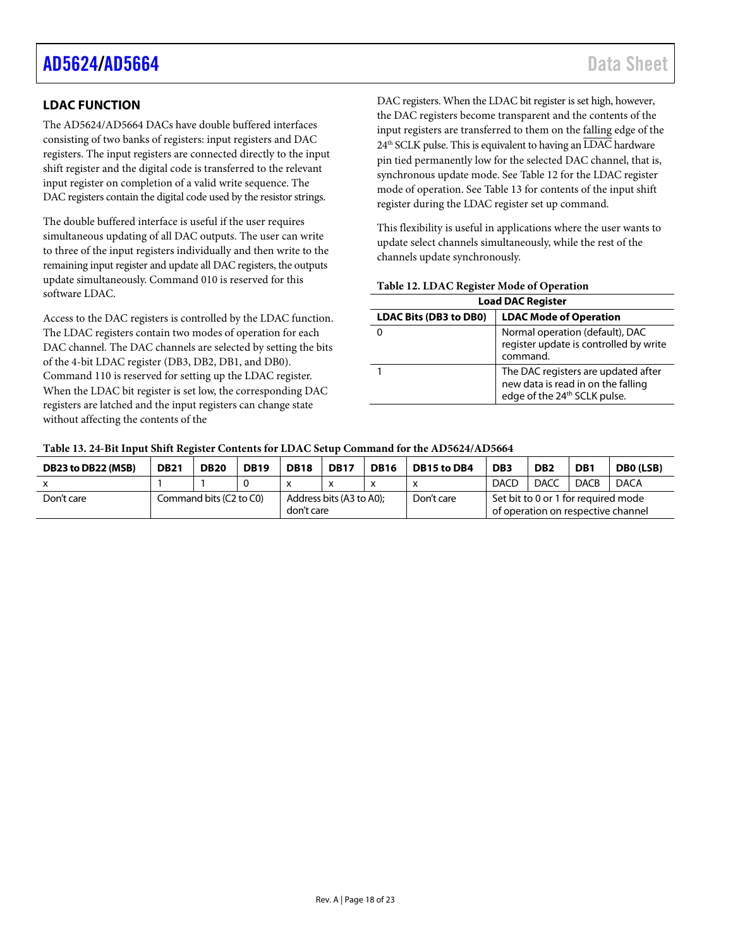### <span id="page-17-0"></span>**LDAC FUNCTION**

The AD5624/AD5664 DACs have double buffered interfaces consisting of two banks of registers: input registers and DAC registers. The input registers are connected directly to the input shift register and the digital code is transferred to the relevant input register on completion of a valid write sequence. The DAC registers contain the digital code used by the resistor strings.

The double buffered interface is useful if the user requires simultaneous updating of all DAC outputs. The user can write to three of the input registers individually and then write to the remaining input register and update all DAC registers, the outputs update simultaneously. Command 010 is reserved for this software LDAC.

Access to the DAC registers is controlled by the LDAC function. The LDAC registers contain two modes of operation for each DAC channel. The DAC channels are selected by setting the bits of the 4-bit LDAC register (DB3, DB2, DB1, and DB0). Command 110 is reserved for setting up the LDAC register. When the LDAC bit register is set low, the corresponding DAC registers are latched and the input registers can change state without affecting the contents of the

DAC registers. When the LDAC bit register is set high, however, the DAC registers become transparent and the contents of the input registers are transferred to them on the falling edge of the  $24<sup>th</sup> SCLK$  pulse. This is equivalent to having an  $\overline{LDAC}$  hardware pin tied permanently low for the selected DAC channel, that is, synchronous update mode. Se[e Table 12](#page-17-1) for the LDAC register mode of operation. Se[e Table 13](#page-17-2) for contents of the input shift register during the LDAC register set up command.

This flexibility is useful in applications where the user wants to update select channels simultaneously, while the rest of the channels update synchronously.

<span id="page-17-1"></span>

| Table 12. LDAC Register Mode of Operation |  |
|-------------------------------------------|--|
|-------------------------------------------|--|

| <b>Load DAC Register</b> |                                                                                                                       |  |  |  |  |  |
|--------------------------|-----------------------------------------------------------------------------------------------------------------------|--|--|--|--|--|
| LDAC Bits (DB3 to DB0)   | <b>LDAC Mode of Operation</b>                                                                                         |  |  |  |  |  |
|                          | Normal operation (default), DAC<br>register update is controlled by write<br>command.                                 |  |  |  |  |  |
|                          | The DAC registers are updated after<br>new data is read in on the falling<br>edge of the 24 <sup>th</sup> SCLK pulse. |  |  |  |  |  |

<span id="page-17-2"></span>**Table 13. 24-Bit Input Shift Register Contents for LDAC Setup Command for the AD5624/AD5664** 

| DB23 to DB22 (MSB) | <b>DB21</b> | <b>DB20</b>             | <b>DB19</b> | <b>DB18</b> | <b>DB17</b>              | <b>DB16</b>  | DB15 to DB4 | DB <sub>3</sub> | DB <sub>2</sub>                     | DB <sub>1</sub> | DBO (LSB)                          |
|--------------------|-------------|-------------------------|-------------|-------------|--------------------------|--------------|-------------|-----------------|-------------------------------------|-----------------|------------------------------------|
|                    |             |                         |             |             | X                        | $\mathbf{v}$ | x           | <b>DACD</b>     | <b>DACC</b>                         | <b>DACB</b>     | <b>DACA</b>                        |
| Don't care         |             | Command bits (C2 to C0) |             | don't care  | Address bits (A3 to A0); |              | Don't care  |                 | Set bit to 0 or 1 for required mode |                 | of operation on respective channel |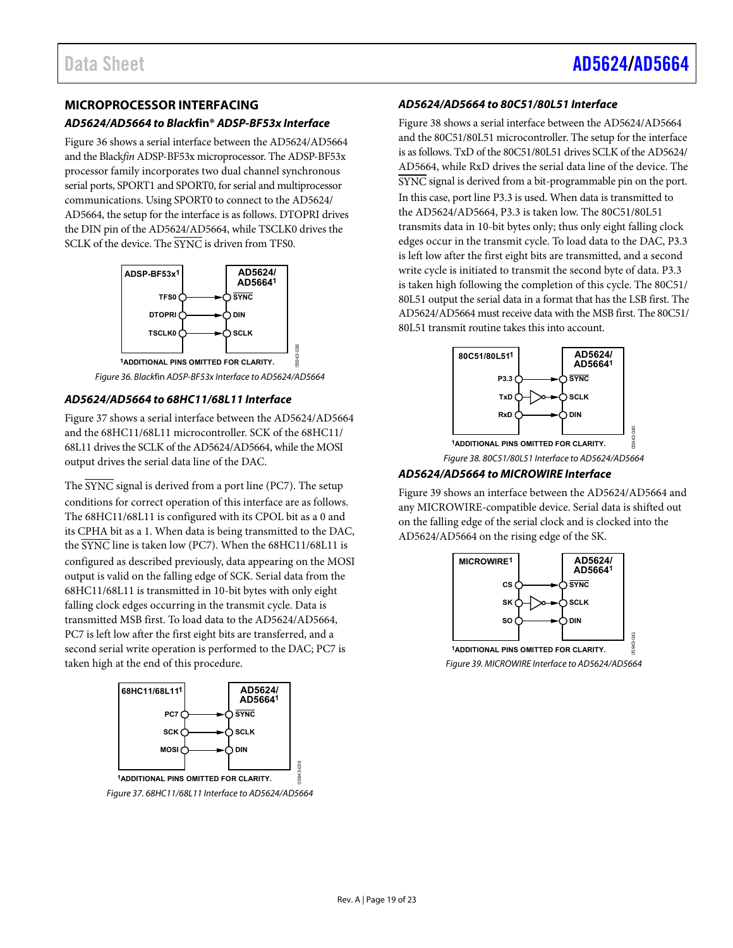### <span id="page-18-0"></span>**MICROPROCESSOR INTERFACING**

#### **AD5624/AD5664 to Blackfin® ADSP-BF53x Interface**

[Figure 36 s](#page-18-1)hows a serial interface between the AD5624/AD5664 and the Black*fin* ADSP-BF53x microprocessor. The ADSP-BF53x processor family incorporates two dual channel synchronous serial ports, SPORT1 and SPORT0, for serial and multiprocessor communications. Using SPORT0 to connect to the AD5624/ AD5664, the setup for the interface is as follows. DTOPRI drives the DIN pin of the AD5624/AD5664, while TSCLK0 drives the SCLK of the device. The SYNC is driven from TFS0.



Figure 36. Blackfin ADSP-BF53x Interface to AD5624/AD5664

#### <span id="page-18-1"></span>**AD5624/AD5664 to 68HC11/68L11 Interface**

[Figure 37 s](#page-18-2)hows a serial interface between the AD5624/AD5664 and the 68HC11/68L11 microcontroller. SCK of the 68HC11/ 68L11 drives the SCLK of the AD5624/AD5664, while the MOSI output drives the serial data line of the DAC.

The SYNC signal is derived from a port line (PC7). The setup conditions for correct operation of this interface are as follows. The 68HC11/68L11 is configured with its CPOL bit as a 0 and its CPHA bit as a 1. When data is being transmitted to the DAC, the SYNC line is taken low (PC7). When the 68HC11/68L11 is configured as described previously, data appearing on the MOSI output is valid on the falling edge of SCK. Serial data from the 68HC11/68L11 is transmitted in 10-bit bytes with only eight falling clock edges occurring in the transmit cycle. Data is transmitted MSB first. To load data to the AD5624/AD5664, PC7 is left low after the first eight bits are transferred, and a second serial write operation is performed to the DAC; PC7 is taken high at the end of this procedure.

<span id="page-18-2"></span>

#### **AD5624/AD5664 to 80C51/80L51 Interface**

[Figure 38 s](#page-18-3)hows a serial interface between the AD5624/AD5664 and the 80C51/80L51 microcontroller. The setup for the interface is as follows. TxD of the 80C51/80L51 drives SCLK of the AD5624/ AD5664, while RxD drives the serial data line of the device. The SYNC signal is derived from a bit-programmable pin on the port. In this case, port line P3.3 is used. When data is transmitted to the AD5624/AD5664, P3.3 is taken low. The 80C51/80L51 transmits data in 10-bit bytes only; thus only eight falling clock edges occur in the transmit cycle. To load data to the DAC, P3.3 is left low after the first eight bits are transmitted, and a second write cycle is initiated to transmit the second byte of data. P3.3 is taken high following the completion of this cycle. The 80C51/ 80L51 output the serial data in a format that has the LSB first. The AD5624/AD5664 must receive data with the MSB first. The 80C51/ 80L51 transmit routine takes this into account.



#### <span id="page-18-3"></span>**AD5624/AD5664 to MICROWIRE Interface**

[Figure 39 s](#page-18-4)hows an interface between the AD5624/AD5664 and any MICROWIRE-compatible device. Serial data is shifted out on the falling edge of the serial clock and is clocked into the AD5624/AD5664 on the rising edge of the SK.



<span id="page-18-4"></span>Figure 39. MICROWIRE Interface to AD5624/AD5664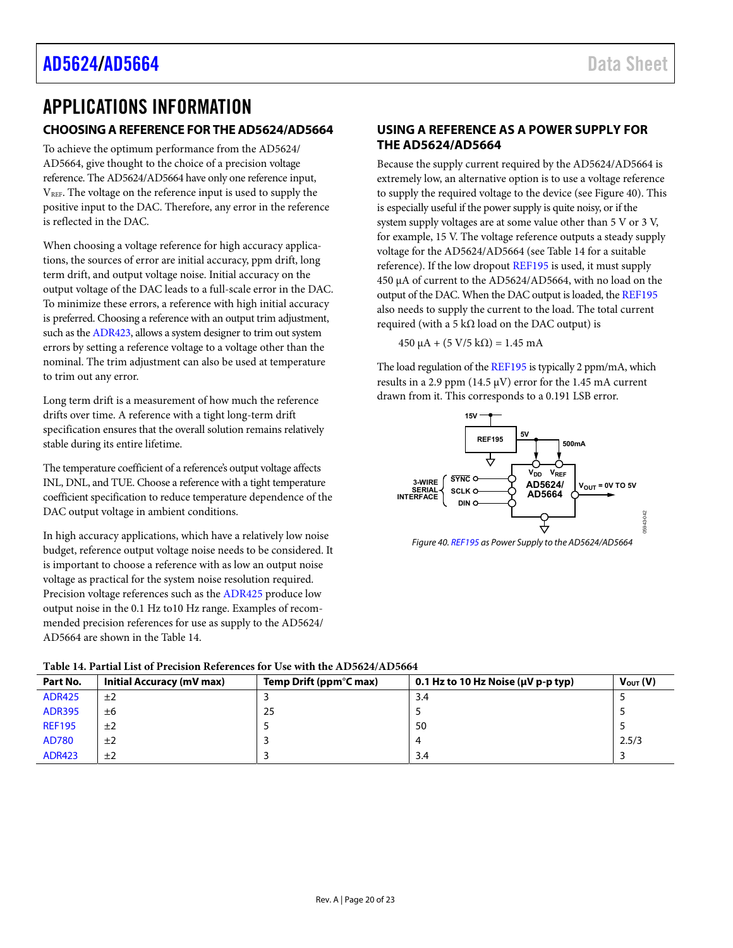### <span id="page-19-1"></span><span id="page-19-0"></span>APPLICATIONS INFORMATION **CHOOSING A REFERENCE FOR THE AD5624/AD5664**

To achieve the optimum performance from the AD5624/ AD5664, give thought to the choice of a precision voltage reference. The AD5624/AD5664 have only one reference input,  $V<sub>REF</sub>$ . The voltage on the reference input is used to supply the positive input to the DAC. Therefore, any error in the reference is reflected in the DAC.

When choosing a voltage reference for high accuracy applications, the sources of error are initial accuracy, ppm drift, long term drift, and output voltage noise. Initial accuracy on the output voltage of the DAC leads to a full-scale error in the DAC. To minimize these errors, a reference with high initial accuracy is preferred. Choosing a reference with an output trim adjustment, such as th[e ADR423,](http://www.analog.com/ADR423?doc=AD5624_5664.pdf) allows a system designer to trim out system errors by setting a reference voltage to a voltage other than the nominal. The trim adjustment can also be used at temperature to trim out any error.

Long term drift is a measurement of how much the reference drifts over time. A reference with a tight long-term drift specification ensures that the overall solution remains relatively stable during its entire lifetime.

The temperature coefficient of a reference's output voltage affects INL, DNL, and TUE. Choose a reference with a tight temperature coefficient specification to reduce temperature dependence of the DAC output voltage in ambient conditions.

In high accuracy applications, which have a relatively low noise budget, reference output voltage noise needs to be considered. It is important to choose a reference with as low an output noise voltage as practical for the system noise resolution required. Precision voltage references such as th[e ADR425 p](http://www.analog.com/ADR425?doc=AD5624_5664.pdf)roduce low output noise in the 0.1 Hz to10 Hz range. Examples of recommended precision references for use as supply to the AD5624/ AD5664 are shown in the [Table 14.](#page-19-3) 

#### <span id="page-19-2"></span>**USING A REFERENCE AS A POWER SUPPLY FOR THE AD5624/AD5664**

Because the supply current required by the AD5624/AD5664 is extremely low, an alternative option is to use a voltage reference to supply the required voltage to the device (see [Figure 40\)](#page-19-4). This is especially useful if the power supply is quite noisy, or if the system supply voltages are at some value other than 5 V or 3 V, for example, 15 V. The voltage reference outputs a steady supply voltage for the AD5624/AD5664 (se[e Table 14](#page-19-3) for a suitable reference). If the low dropou[t REF195 i](http://www.analog.com/REF195?doc=AD5624_5664.pdf)s used, it must supply 450 μA of current to the AD5624/AD5664, with no load on the output of the DAC. When the DAC output is loaded, the [REF195](http://www.analog.com/REF195?doc=AD5624_5664.pdf) also needs to supply the current to the load. The total current required (with a 5 kΩ load on the DAC output) is

450 μA + (5 V/5 kΩ) = 1.45 mA

The load regulation of the [REF195 i](http://www.analog.com/REF195?doc=AD5624_5664.pdf)s typically 2 ppm/mA, which results in a 2.9 ppm ( $14.5 \mu V$ ) error for the 1.45 mA current drawn from it. This corresponds to a 0.191 LSB error.



<span id="page-19-4"></span>Figure 40[. REF195 a](http://www.analog.com/REF195?doc=AD5624_5664.pdf)s Power Supply to the AD5624/AD5664

<span id="page-19-3"></span>

| Table 14. Partial List of Precision References for Use with the AD5624/AD5664 |
|-------------------------------------------------------------------------------|
|-------------------------------------------------------------------------------|

| Part No.      | Initial Accuracy (mV max) | Temp Drift (ppm <sup>o</sup> C max) | 0.1 Hz to 10 Hz Noise ( $\mu$ V p-p typ) | $V_{\text{OUT}}(V)$ |
|---------------|---------------------------|-------------------------------------|------------------------------------------|---------------------|
| <b>ADR425</b> | ±2                        |                                     | 3.4                                      |                     |
| <b>ADR395</b> | ±6                        | 25                                  |                                          |                     |
| <b>REF195</b> | ±2                        |                                     | -50                                      |                     |
| <b>AD780</b>  | ±2                        |                                     | 4                                        | 2.5/3               |
| <b>ADR423</b> | ±2                        |                                     | 3.4                                      |                     |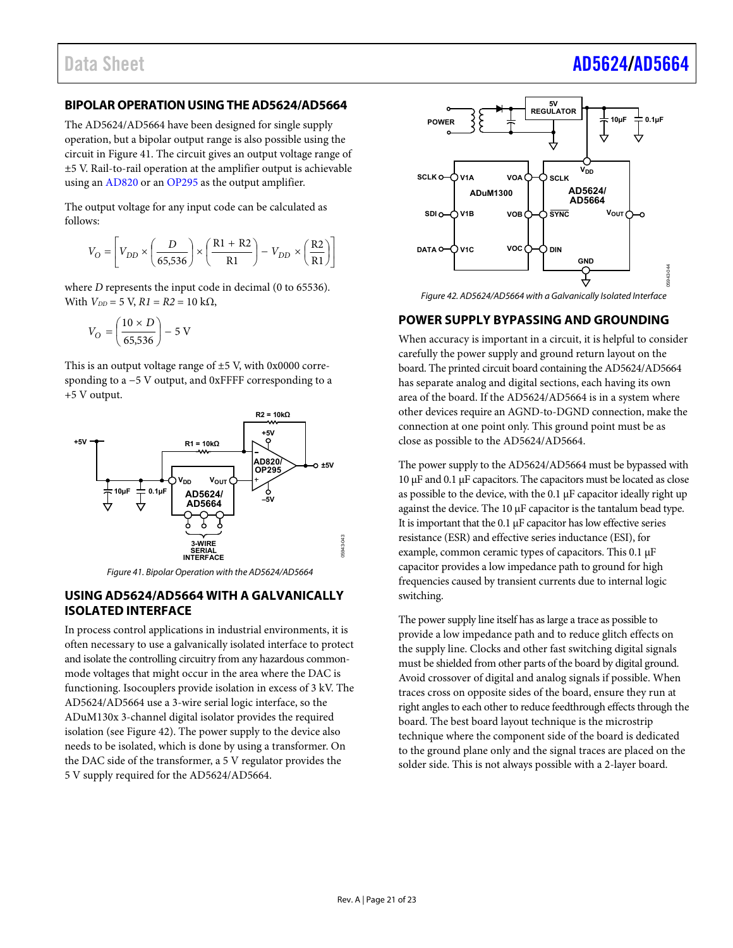# Data Sheet **[AD5624/](http://www.analog.com/AD5624?doc=AD5624_5664.pdf)[AD5664](http://www.analog.com/AD5664?doc=AD5624_5664.pdf)**

### <span id="page-20-0"></span>**BIPOLAR OPERATION USING THE AD5624/AD5664**

The AD5624/AD5664 have been designed for single supply operation, but a bipolar output range is also possible using the circuit i[n Figure 41.](#page-20-3) The circuit gives an output voltage range of ±5 V. Rail-to-rail operation at the amplifier output is achievable using an [AD820 o](http://www.analog.com/AD820?doc=AD5624_5664.pdf)r a[n OP295 a](http://www.analog.com/OP295?doc=AD5624_5664.pdf)s the output amplifier.

The output voltage for any input code can be calculated as follows:

$$
V_O = \left[ V_{DD} \times \left( \frac{D}{65,536} \right) \times \left( \frac{R1 + R2}{R1} \right) - V_{DD} \times \left( \frac{R2}{R1} \right) \right]
$$

where *D* represents the input code in decimal (0 to 65536). With  $V_{DD}$  = 5 V,  $R1 = R2 = 10$  kΩ,

$$
V_O = \left(\frac{10 \times D}{65,536}\right) - 5 \text{ V}
$$

This is an output voltage range of  $\pm$ 5 V, with 0x0000 corresponding to a −5 V output, and 0xFFFF corresponding to a +5 V output.



Figure 41. Bipolar Operation with the AD5624/AD5664

### <span id="page-20-3"></span><span id="page-20-1"></span>**USING AD5624/AD5664 WITH A GALVANICALLY ISOLATED INTERFACE**

In process control applications in industrial environments, it is often necessary to use a galvanically isolated interface to protect and isolate the controlling circuitry from any hazardous commonmode voltages that might occur in the area where the DAC is functioning. Isocouplers provide isolation in excess of 3 kV. The AD5624/AD5664 use a 3-wire serial logic interface, so the ADuM130x 3-channel digital isolator provides the required isolation (see [Figure 42\)](#page-20-4). The power supply to the device also needs to be isolated, which is done by using a transformer. On the DAC side of the transformer, a 5 V regulator provides the 5 V supply required for the AD5624/AD5664.



<span id="page-20-4"></span>Figure 42. AD5624/AD5664 with a Galvanically Isolated Interface

### <span id="page-20-2"></span>**POWER SUPPLY BYPASSING AND GROUNDING**

When accuracy is important in a circuit, it is helpful to consider carefully the power supply and ground return layout on the board. The printed circuit board containing the AD5624/AD5664 has separate analog and digital sections, each having its own area of the board. If the AD5624/AD5664 is in a system where other devices require an AGND-to-DGND connection, make the connection at one point only. This ground point must be as close as possible to the AD5624/AD5664.

The power supply to the AD5624/AD5664 must be bypassed with 10 μF and 0.1 μF capacitors. The capacitors must be located as close as possible to the device, with the 0.1 μF capacitor ideally right up against the device. The  $10 \mu$ F capacitor is the tantalum bead type. It is important that the 0.1 μF capacitor has low effective series resistance (ESR) and effective series inductance (ESI), for example, common ceramic types of capacitors. This 0.1 μF capacitor provides a low impedance path to ground for high frequencies caused by transient currents due to internal logic switching.

The power supply line itself has as large a trace as possible to provide a low impedance path and to reduce glitch effects on the supply line. Clocks and other fast switching digital signals must be shielded from other parts of the board by digital ground. Avoid crossover of digital and analog signals if possible. When traces cross on opposite sides of the board, ensure they run at right angles to each other to reduce feedthrough effects through the board. The best board layout technique is the microstrip technique where the component side of the board is dedicated to the ground plane only and the signal traces are placed on the solder side. This is not always possible with a 2-layer board.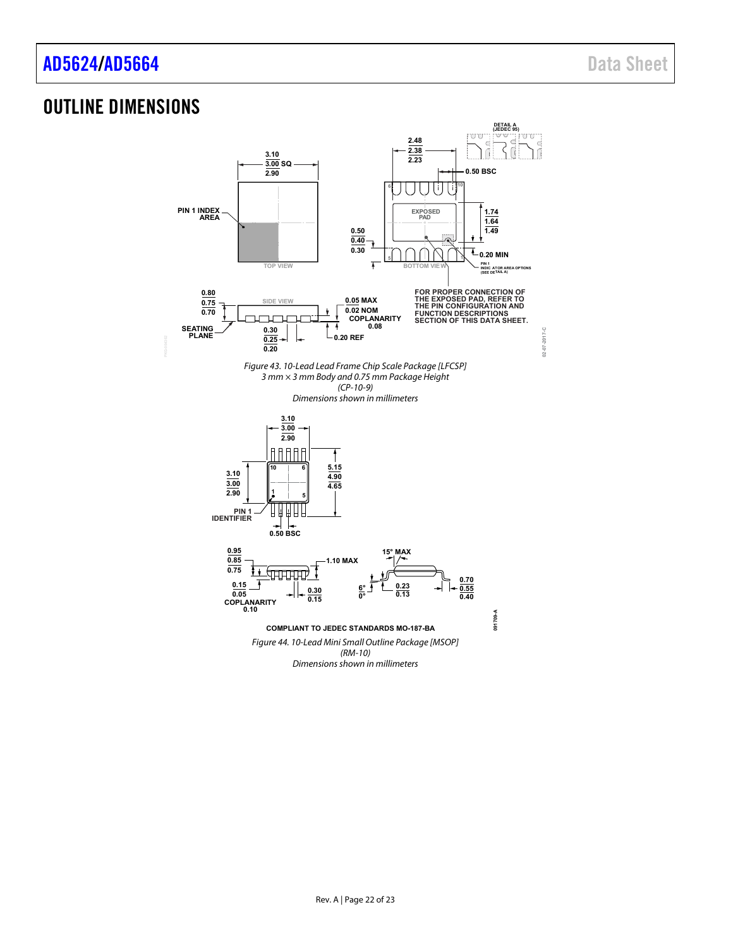## <span id="page-21-0"></span>OUTLINE DIMENSIONS